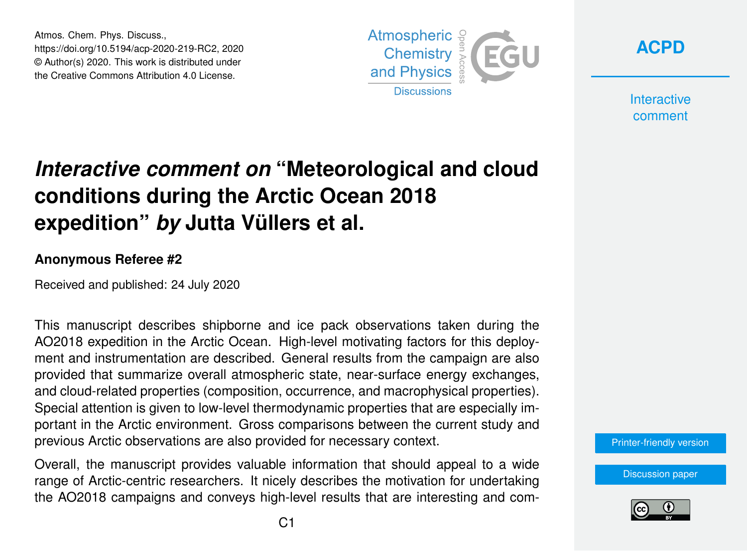Atmos. Chem. Phys. Discuss., https://doi.org/10.5194/acp-2020-219-RC2, 2020 © Author(s) 2020. This work is distributed under the Creative Commons Attribution 4.0 License.



**[ACPD](https://www.atmos-chem-phys-discuss.net/)**

**Interactive** comment

## *Interactive comment on* **"Meteorological and cloud conditions during the Arctic Ocean 2018 expedition"** *by* **Jutta Vüllers et al.**

## **Anonymous Referee #2**

Received and published: 24 July 2020

This manuscript describes shipborne and ice pack observations taken during the AO2018 expedition in the Arctic Ocean. High-level motivating factors for this deployment and instrumentation are described. General results from the campaign are also provided that summarize overall atmospheric state, near-surface energy exchanges, and cloud-related properties (composition, occurrence, and macrophysical properties). Special attention is given to low-level thermodynamic properties that are especially important in the Arctic environment. Gross comparisons between the current study and previous Arctic observations are also provided for necessary context.

Overall, the manuscript provides valuable information that should appeal to a wide range of Arctic-centric researchers. It nicely describes the motivation for undertaking the AO2018 campaigns and conveys high-level results that are interesting and com-



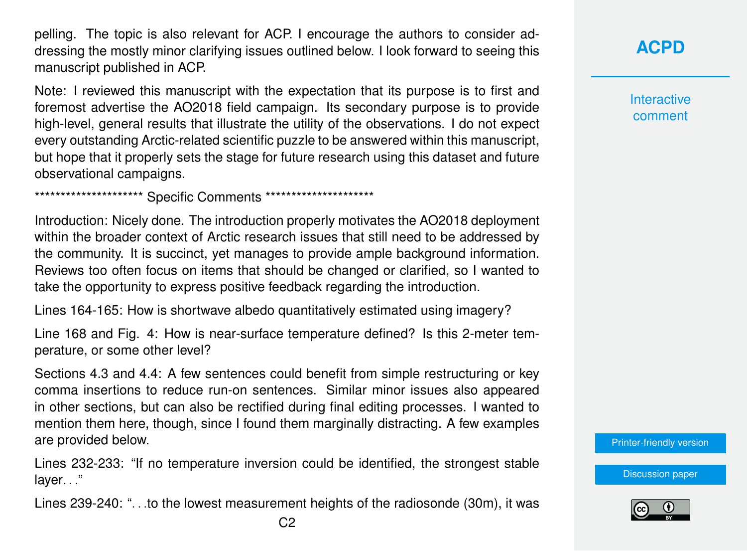pelling. The topic is also relevant for ACP. I encourage the authors to consider addressing the mostly minor clarifying issues outlined below. I look forward to seeing this manuscript published in ACP.

Note: I reviewed this manuscript with the expectation that its purpose is to first and foremost advertise the AO2018 field campaign. Its secondary purpose is to provide high-level, general results that illustrate the utility of the observations. I do not expect every outstanding Arctic-related scientific puzzle to be answered within this manuscript, but hope that it properly sets the stage for future research using this dataset and future observational campaigns.

\*\*\*\*\*\*\*\*\*\*\*\*\*\*\*\*\*\*\*\*\*\* Specific Comments \*\*\*\*\*\*\*\*\*\*\*\*\*\*\*\*\*\*\*\*\*

Introduction: Nicely done. The introduction properly motivates the AO2018 deployment within the broader context of Arctic research issues that still need to be addressed by the community. It is succinct, yet manages to provide ample background information. Reviews too often focus on items that should be changed or clarified, so I wanted to take the opportunity to express positive feedback regarding the introduction.

Lines 164-165: How is shortwave albedo quantitatively estimated using imagery?

Line 168 and Fig. 4: How is near-surface temperature defined? Is this 2-meter temperature, or some other level?

Sections 4.3 and 4.4: A few sentences could benefit from simple restructuring or key comma insertions to reduce run-on sentences. Similar minor issues also appeared in other sections, but can also be rectified during final editing processes. I wanted to mention them here, though, since I found them marginally distracting. A few examples are provided below.

Lines 232-233: "If no temperature inversion could be identified, the strongest stable layer. . ."

Lines 239-240: ". . .to the lowest measurement heights of the radiosonde (30m), it was

**[ACPD](https://www.atmos-chem-phys-discuss.net/)**

**Interactive** comment

[Printer-friendly version](https://www.atmos-chem-phys-discuss.net/acp-2020-219/acp-2020-219-RC2-print.pdf)

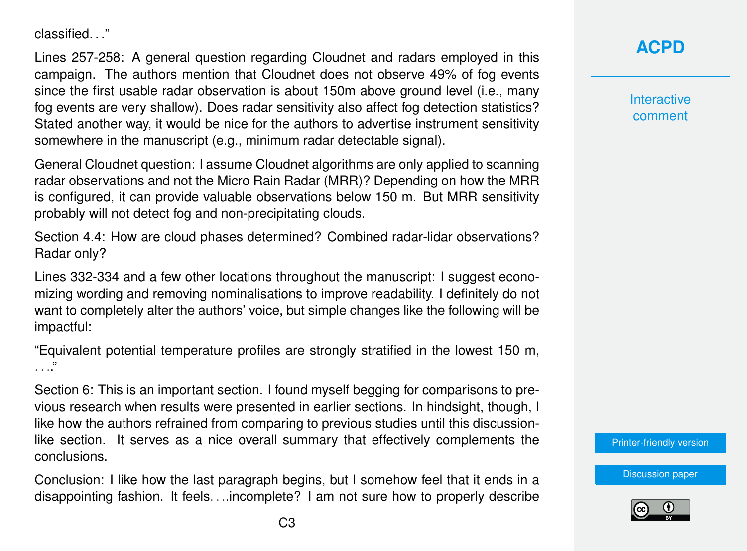classified. "

Lines 257-258: A general question regarding Cloudnet and radars employed in this campaign. The authors mention that Cloudnet does not observe 49% of fog events since the first usable radar observation is about 150m above ground level (i.e., many fog events are very shallow). Does radar sensitivity also affect fog detection statistics? Stated another way, it would be nice for the authors to advertise instrument sensitivity somewhere in the manuscript (e.g., minimum radar detectable signal).

General Cloudnet question: I assume Cloudnet algorithms are only applied to scanning radar observations and not the Micro Rain Radar (MRR)? Depending on how the MRR is configured, it can provide valuable observations below 150 m. But MRR sensitivity probably will not detect fog and non-precipitating clouds.

Section 4.4: How are cloud phases determined? Combined radar-lidar observations? Radar only?

Lines 332-334 and a few other locations throughout the manuscript: I suggest economizing wording and removing nominalisations to improve readability. I definitely do not want to completely alter the authors' voice, but simple changes like the following will be impactful:

"Equivalent potential temperature profiles are strongly stratified in the lowest 150 m, . . .."

Section 6: This is an important section. I found myself begging for comparisons to previous research when results were presented in earlier sections. In hindsight, though, I like how the authors refrained from comparing to previous studies until this discussionlike section. It serves as a nice overall summary that effectively complements the conclusions.

Conclusion: I like how the last paragraph begins, but I somehow feel that it ends in a disappointing fashion. It feels. . ..incomplete? I am not sure how to properly describe **[ACPD](https://www.atmos-chem-phys-discuss.net/)**

**Interactive** comment

[Printer-friendly version](https://www.atmos-chem-phys-discuss.net/acp-2020-219/acp-2020-219-RC2-print.pdf)

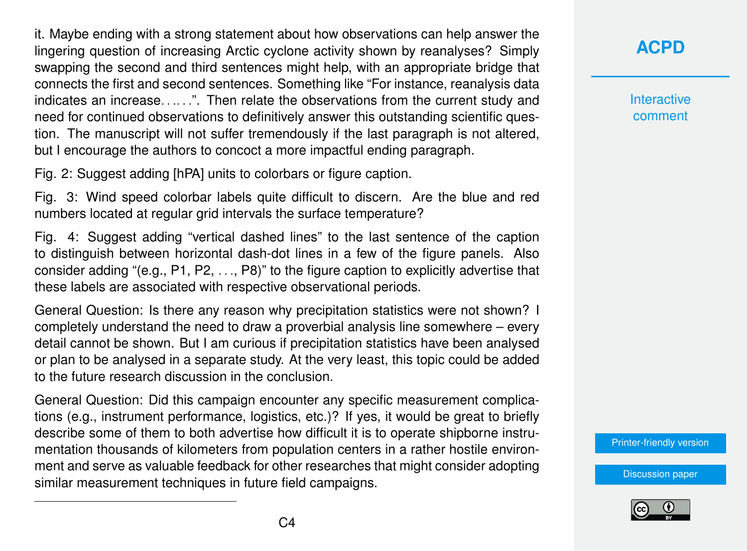it. Maybe ending with a strong statement about how observations can help answer the lingering question of increasing Arctic cyclone activity shown by reanalyses? Simply swapping the second and third sentences might help, with an appropriate bridge that connects the first and second sentences. Something like "For instance, reanalysis data indicates an increase......". Then relate the observations from the current study and need for continued observations to definitively answer this outstanding scientific question. The manuscript will not suffer tremendously if the last paragraph is not altered, but I encourage the authors to concoct a more impactful ending paragraph.

Fig. 2: Suggest adding [hPA] units to colorbars or figure caption.

Fig. 3: Wind speed colorbar labels quite difficult to discern. Are the blue and red numbers located at regular grid intervals the surface temperature?

Fig. 4: Suggest adding "vertical dashed lines" to the last sentence of the caption to distinguish between horizontal dash-dot lines in a few of the figure panels. Also consider adding "(e.g., P1, P2, . . ., P8)" to the figure caption to explicitly advertise that these labels are associated with respective observational periods.

General Question: Is there any reason why precipitation statistics were not shown? I completely understand the need to draw a proverbial analysis line somewhere – every detail cannot be shown. But I am curious if precipitation statistics have been analysed or plan to be analysed in a separate study. At the very least, this topic could be added to the future research discussion in the conclusion.

General Question: Did this campaign encounter any specific measurement complications (e.g., instrument performance, logistics, etc.)? If yes, it would be great to briefly describe some of them to both advertise how difficult it is to operate shipborne instrumentation thousands of kilometers from population centers in a rather hostile environment and serve as valuable feedback for other researches that might consider adopting similar measurement techniques in future field campaigns.

**[ACPD](https://www.atmos-chem-phys-discuss.net/)**

**Interactive** comment

[Printer-friendly version](https://www.atmos-chem-phys-discuss.net/acp-2020-219/acp-2020-219-RC2-print.pdf)